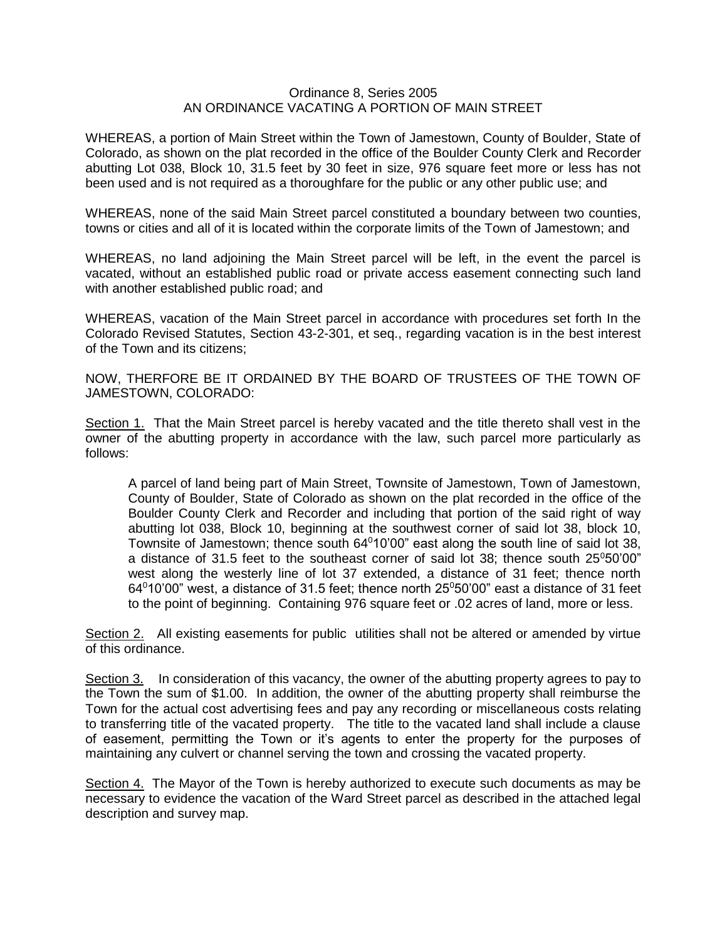## Ordinance 8, Series 2005 AN ORDINANCE VACATING A PORTION OF MAIN STREET

WHEREAS, a portion of Main Street within the Town of Jamestown, County of Boulder, State of Colorado, as shown on the plat recorded in the office of the Boulder County Clerk and Recorder abutting Lot 038, Block 10, 31.5 feet by 30 feet in size, 976 square feet more or less has not been used and is not required as a thoroughfare for the public or any other public use; and

WHEREAS, none of the said Main Street parcel constituted a boundary between two counties, towns or cities and all of it is located within the corporate limits of the Town of Jamestown; and

WHEREAS, no land adjoining the Main Street parcel will be left, in the event the parcel is vacated, without an established public road or private access easement connecting such land with another established public road; and

WHEREAS, vacation of the Main Street parcel in accordance with procedures set forth In the Colorado Revised Statutes, Section 43-2-301, et seq., regarding vacation is in the best interest of the Town and its citizens;

NOW, THERFORE BE IT ORDAINED BY THE BOARD OF TRUSTEES OF THE TOWN OF JAMESTOWN, COLORADO:

Section 1. That the Main Street parcel is hereby vacated and the title thereto shall vest in the owner of the abutting property in accordance with the law, such parcel more particularly as follows:

A parcel of land being part of Main Street, Townsite of Jamestown, Town of Jamestown, County of Boulder, State of Colorado as shown on the plat recorded in the office of the Boulder County Clerk and Recorder and including that portion of the said right of way abutting lot 038, Block 10, beginning at the southwest corner of said lot 38, block 10, Townsite of Jamestown; thence south  $64^010'00''$  east along the south line of said lot 38, a distance of 31.5 feet to the southeast corner of said lot 38; thence south  $25^{\circ}50'00"$ west along the westerly line of lot 37 extended, a distance of 31 feet; thence north  $64^{\circ}10'00''$  west, a distance of 31.5 feet; thence north 25 $^{\circ}50'00''$  east a distance of 31 feet to the point of beginning. Containing 976 square feet or .02 acres of land, more or less.

Section 2. All existing easements for public utilities shall not be altered or amended by virtue of this ordinance.

Section 3. In consideration of this vacancy, the owner of the abutting property agrees to pay to the Town the sum of \$1.00. In addition, the owner of the abutting property shall reimburse the Town for the actual cost advertising fees and pay any recording or miscellaneous costs relating to transferring title of the vacated property. The title to the vacated land shall include a clause of easement, permitting the Town or it's agents to enter the property for the purposes of maintaining any culvert or channel serving the town and crossing the vacated property.

Section 4. The Mayor of the Town is hereby authorized to execute such documents as may be necessary to evidence the vacation of the Ward Street parcel as described in the attached legal description and survey map.